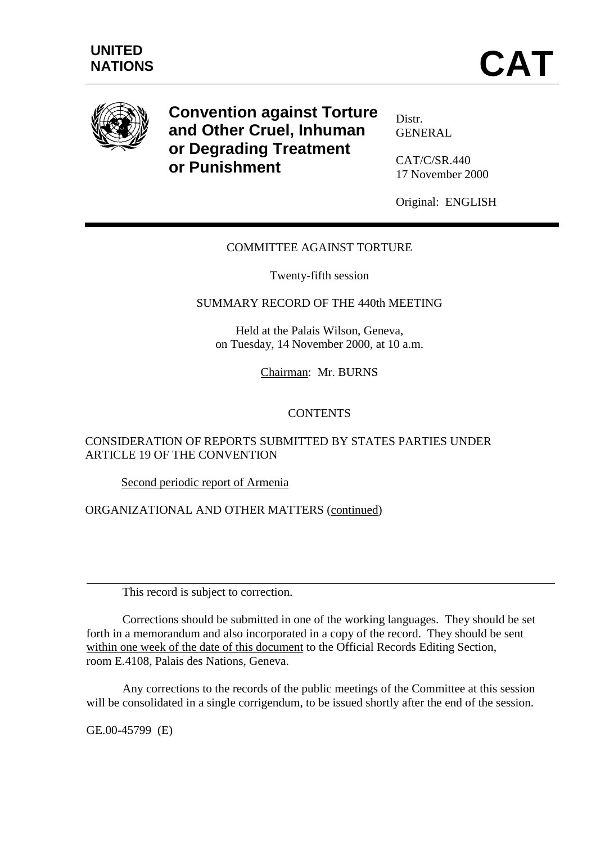

**Convention against Torture and Other Cruel, Inhuman or Degrading Treatment or Punishment**

Distr. GENERAL

CAT/C/SR.440 17 November 2000

Original: ENGLISH

## COMMITTEE AGAINST TORTURE

Twenty-fifth session

## SUMMARY RECORD OF THE 440th MEETING

Held at the Palais Wilson, Geneva, on Tuesday, 14 November 2000, at 10 a.m.

Chairman: Mr. BURNS

## CONTENTS

## CONSIDERATION OF REPORTS SUBMITTED BY STATES PARTIES UNDER ARTICLE 19 OF THE CONVENTION

Second periodic report of Armenia

#### ORGANIZATIONAL AND OTHER MATTERS (continued)

This record is subject to correction.

Corrections should be submitted in one of the working languages. They should be set forth in a memorandum and also incorporated in a copy of the record. They should be sent within one week of the date of this document to the Official Records Editing Section, room E.4108, Palais des Nations, Geneva.

Any corrections to the records of the public meetings of the Committee at this session will be consolidated in a single corrigendum, to be issued shortly after the end of the session.

GE.00-45799 (E)

 $\overline{a}$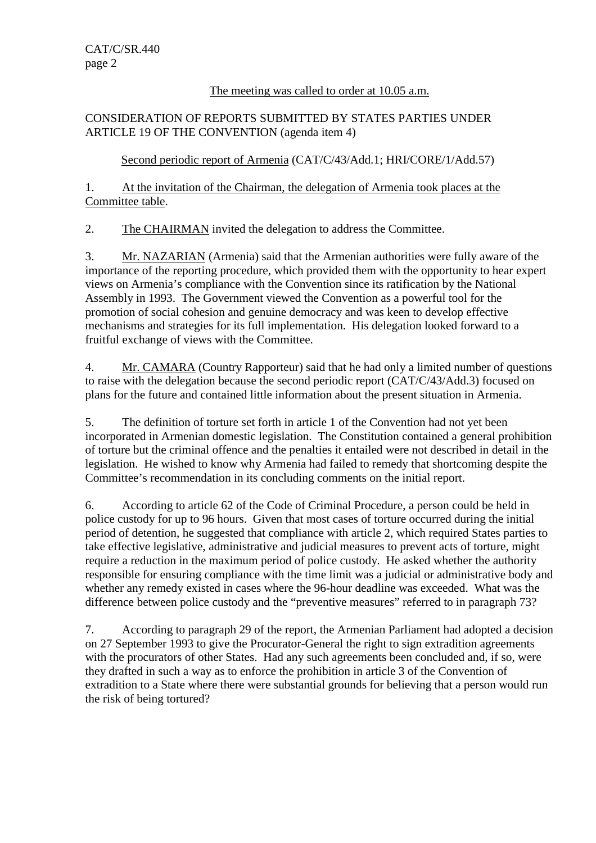# The meeting was called to order at 10.05 a.m.

# CONSIDERATION OF REPORTS SUBMITTED BY STATES PARTIES UNDER ARTICLE 19 OF THE CONVENTION (agenda item 4)

Second periodic report of Armenia (CAT/C/43/Add.1; HRI/CORE/1/Add.57)

1. At the invitation of the Chairman, the delegation of Armenia took places at the Committee table.

2. The CHAIRMAN invited the delegation to address the Committee.

3. Mr. NAZARIAN (Armenia) said that the Armenian authorities were fully aware of the importance of the reporting procedure, which provided them with the opportunity to hear expert views on Armenia's compliance with the Convention since its ratification by the National Assembly in 1993. The Government viewed the Convention as a powerful tool for the promotion of social cohesion and genuine democracy and was keen to develop effective mechanisms and strategies for its full implementation. His delegation looked forward to a fruitful exchange of views with the Committee.

4. Mr. CAMARA (Country Rapporteur) said that he had only a limited number of questions to raise with the delegation because the second periodic report (CAT/C/43/Add.3) focused on plans for the future and contained little information about the present situation in Armenia.

5. The definition of torture set forth in article 1 of the Convention had not yet been incorporated in Armenian domestic legislation. The Constitution contained a general prohibition of torture but the criminal offence and the penalties it entailed were not described in detail in the legislation. He wished to know why Armenia had failed to remedy that shortcoming despite the Committee's recommendation in its concluding comments on the initial report.

6. According to article 62 of the Code of Criminal Procedure, a person could be held in police custody for up to 96 hours. Given that most cases of torture occurred during the initial period of detention, he suggested that compliance with article 2, which required States parties to take effective legislative, administrative and judicial measures to prevent acts of torture, might require a reduction in the maximum period of police custody. He asked whether the authority responsible for ensuring compliance with the time limit was a judicial or administrative body and whether any remedy existed in cases where the 96-hour deadline was exceeded. What was the difference between police custody and the "preventive measures" referred to in paragraph 73?

7. According to paragraph 29 of the report, the Armenian Parliament had adopted a decision on 27 September 1993 to give the Procurator-General the right to sign extradition agreements with the procurators of other States. Had any such agreements been concluded and, if so, were they drafted in such a way as to enforce the prohibition in article 3 of the Convention of extradition to a State where there were substantial grounds for believing that a person would run the risk of being tortured?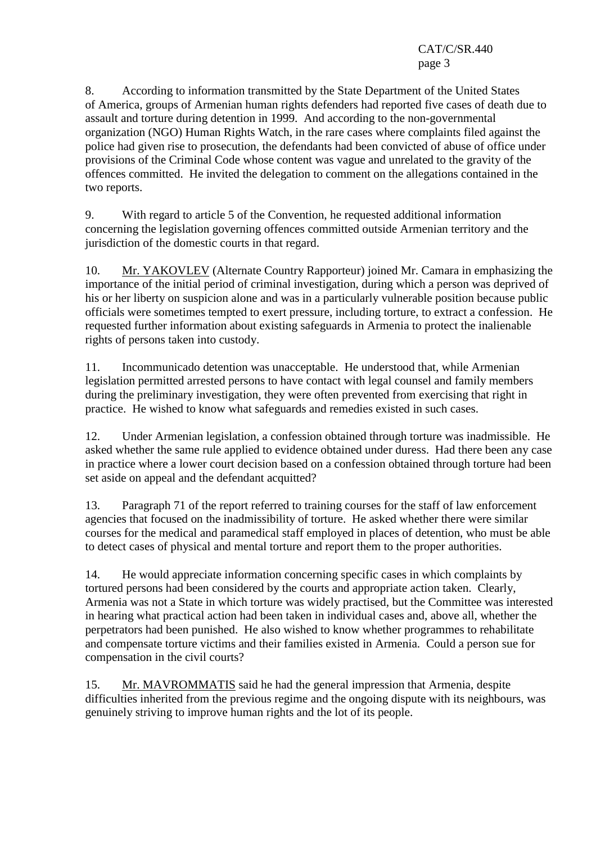8. According to information transmitted by the State Department of the United States of America, groups of Armenian human rights defenders had reported five cases of death due to assault and torture during detention in 1999. And according to the non-governmental organization (NGO) Human Rights Watch, in the rare cases where complaints filed against the police had given rise to prosecution, the defendants had been convicted of abuse of office under provisions of the Criminal Code whose content was vague and unrelated to the gravity of the offences committed. He invited the delegation to comment on the allegations contained in the two reports.

9. With regard to article 5 of the Convention, he requested additional information concerning the legislation governing offences committed outside Armenian territory and the jurisdiction of the domestic courts in that regard.

10. Mr. YAKOVLEV (Alternate Country Rapporteur) joined Mr. Camara in emphasizing the importance of the initial period of criminal investigation, during which a person was deprived of his or her liberty on suspicion alone and was in a particularly vulnerable position because public officials were sometimes tempted to exert pressure, including torture, to extract a confession. He requested further information about existing safeguards in Armenia to protect the inalienable rights of persons taken into custody.

11. Incommunicado detention was unacceptable. He understood that, while Armenian legislation permitted arrested persons to have contact with legal counsel and family members during the preliminary investigation, they were often prevented from exercising that right in practice. He wished to know what safeguards and remedies existed in such cases.

12. Under Armenian legislation, a confession obtained through torture was inadmissible. He asked whether the same rule applied to evidence obtained under duress. Had there been any case in practice where a lower court decision based on a confession obtained through torture had been set aside on appeal and the defendant acquitted?

13. Paragraph 71 of the report referred to training courses for the staff of law enforcement agencies that focused on the inadmissibility of torture. He asked whether there were similar courses for the medical and paramedical staff employed in places of detention, who must be able to detect cases of physical and mental torture and report them to the proper authorities.

14. He would appreciate information concerning specific cases in which complaints by tortured persons had been considered by the courts and appropriate action taken. Clearly, Armenia was not a State in which torture was widely practised, but the Committee was interested in hearing what practical action had been taken in individual cases and, above all, whether the perpetrators had been punished. He also wished to know whether programmes to rehabilitate and compensate torture victims and their families existed in Armenia. Could a person sue for compensation in the civil courts?

15. Mr. MAVROMMATIS said he had the general impression that Armenia, despite difficulties inherited from the previous regime and the ongoing dispute with its neighbours, was genuinely striving to improve human rights and the lot of its people.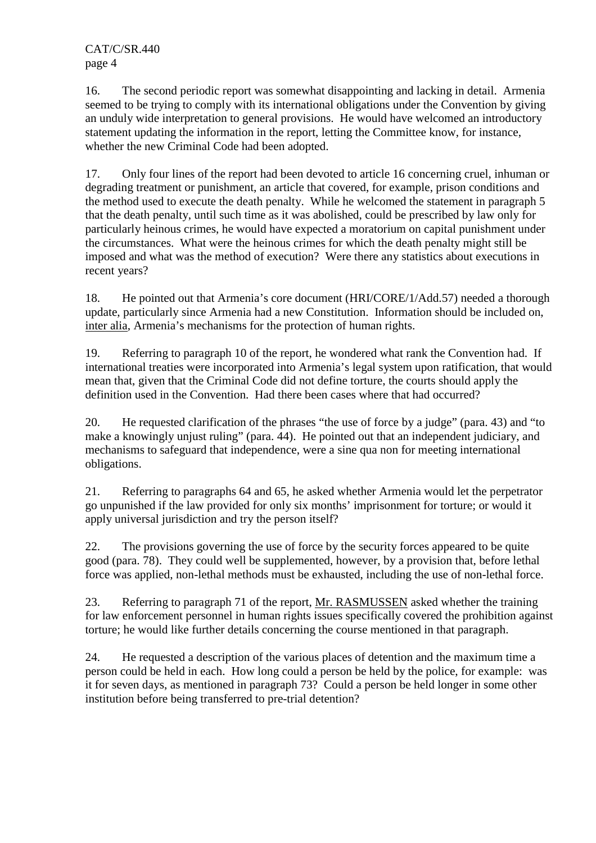16. The second periodic report was somewhat disappointing and lacking in detail. Armenia seemed to be trying to comply with its international obligations under the Convention by giving an unduly wide interpretation to general provisions. He would have welcomed an introductory statement updating the information in the report, letting the Committee know, for instance, whether the new Criminal Code had been adopted.

17. Only four lines of the report had been devoted to article 16 concerning cruel, inhuman or degrading treatment or punishment, an article that covered, for example, prison conditions and the method used to execute the death penalty. While he welcomed the statement in paragraph 5 that the death penalty, until such time as it was abolished, could be prescribed by law only for particularly heinous crimes, he would have expected a moratorium on capital punishment under the circumstances. What were the heinous crimes for which the death penalty might still be imposed and what was the method of execution? Were there any statistics about executions in recent years?

18. He pointed out that Armenia's core document (HRI/CORE/1/Add.57) needed a thorough update, particularly since Armenia had a new Constitution. Information should be included on, inter alia, Armenia's mechanisms for the protection of human rights.

19. Referring to paragraph 10 of the report, he wondered what rank the Convention had. If international treaties were incorporated into Armenia's legal system upon ratification, that would mean that, given that the Criminal Code did not define torture, the courts should apply the definition used in the Convention. Had there been cases where that had occurred?

20. He requested clarification of the phrases "the use of force by a judge" (para. 43) and "to make a knowingly unjust ruling" (para. 44). He pointed out that an independent judiciary, and mechanisms to safeguard that independence, were a sine qua non for meeting international obligations.

21. Referring to paragraphs 64 and 65, he asked whether Armenia would let the perpetrator go unpunished if the law provided for only six months' imprisonment for torture; or would it apply universal jurisdiction and try the person itself?

22. The provisions governing the use of force by the security forces appeared to be quite good (para. 78). They could well be supplemented, however, by a provision that, before lethal force was applied, non-lethal methods must be exhausted, including the use of non-lethal force.

23. Referring to paragraph 71 of the report, Mr. RASMUSSEN asked whether the training for law enforcement personnel in human rights issues specifically covered the prohibition against torture; he would like further details concerning the course mentioned in that paragraph.

24. He requested a description of the various places of detention and the maximum time a person could be held in each. How long could a person be held by the police, for example: was it for seven days, as mentioned in paragraph 73? Could a person be held longer in some other institution before being transferred to pre-trial detention?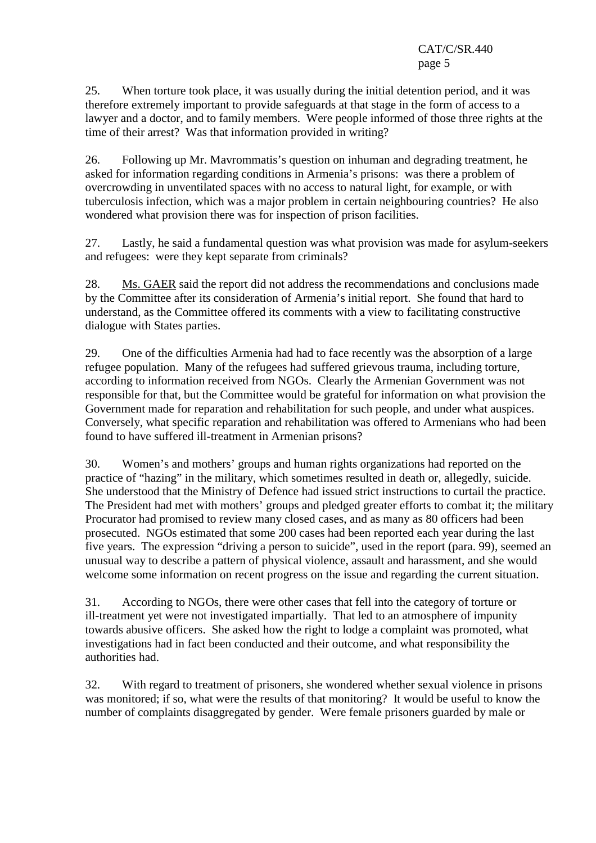25. When torture took place, it was usually during the initial detention period, and it was therefore extremely important to provide safeguards at that stage in the form of access to a lawyer and a doctor, and to family members. Were people informed of those three rights at the time of their arrest? Was that information provided in writing?

26. Following up Mr. Mavrommatis's question on inhuman and degrading treatment, he asked for information regarding conditions in Armenia's prisons: was there a problem of overcrowding in unventilated spaces with no access to natural light, for example, or with tuberculosis infection, which was a major problem in certain neighbouring countries? He also wondered what provision there was for inspection of prison facilities.

27. Lastly, he said a fundamental question was what provision was made for asylum-seekers and refugees: were they kept separate from criminals?

28. Ms. GAER said the report did not address the recommendations and conclusions made by the Committee after its consideration of Armenia's initial report. She found that hard to understand, as the Committee offered its comments with a view to facilitating constructive dialogue with States parties.

29. One of the difficulties Armenia had had to face recently was the absorption of a large refugee population. Many of the refugees had suffered grievous trauma, including torture, according to information received from NGOs. Clearly the Armenian Government was not responsible for that, but the Committee would be grateful for information on what provision the Government made for reparation and rehabilitation for such people, and under what auspices. Conversely, what specific reparation and rehabilitation was offered to Armenians who had been found to have suffered ill-treatment in Armenian prisons?

30. Women's and mothers' groups and human rights organizations had reported on the practice of "hazing" in the military, which sometimes resulted in death or, allegedly, suicide. She understood that the Ministry of Defence had issued strict instructions to curtail the practice. The President had met with mothers' groups and pledged greater efforts to combat it; the military Procurator had promised to review many closed cases, and as many as 80 officers had been prosecuted. NGOs estimated that some 200 cases had been reported each year during the last five years. The expression "driving a person to suicide", used in the report (para. 99), seemed an unusual way to describe a pattern of physical violence, assault and harassment, and she would welcome some information on recent progress on the issue and regarding the current situation.

31. According to NGOs, there were other cases that fell into the category of torture or ill-treatment yet were not investigated impartially. That led to an atmosphere of impunity towards abusive officers. She asked how the right to lodge a complaint was promoted, what investigations had in fact been conducted and their outcome, and what responsibility the authorities had.

32. With regard to treatment of prisoners, she wondered whether sexual violence in prisons was monitored; if so, what were the results of that monitoring? It would be useful to know the number of complaints disaggregated by gender. Were female prisoners guarded by male or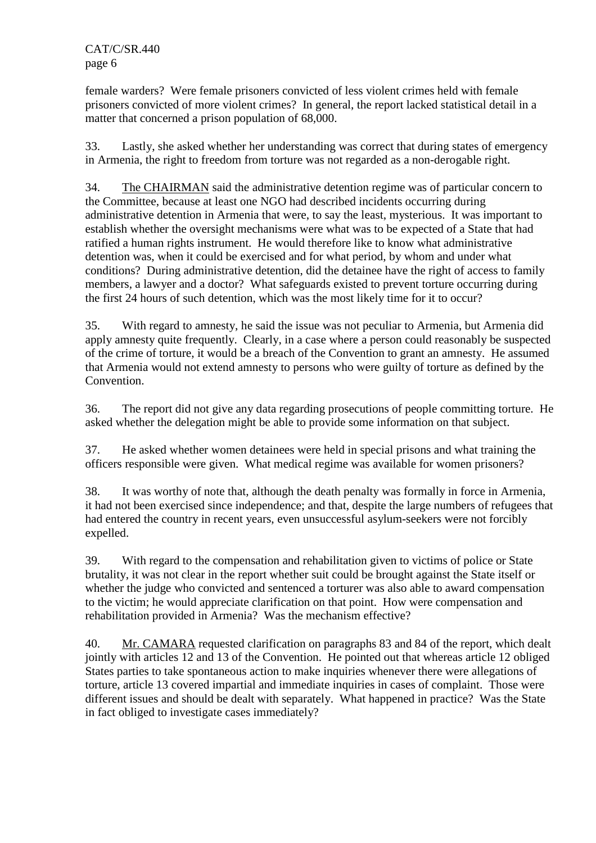female warders? Were female prisoners convicted of less violent crimes held with female prisoners convicted of more violent crimes? In general, the report lacked statistical detail in a matter that concerned a prison population of 68,000.

33. Lastly, she asked whether her understanding was correct that during states of emergency in Armenia, the right to freedom from torture was not regarded as a non-derogable right.

34. The CHAIRMAN said the administrative detention regime was of particular concern to the Committee, because at least one NGO had described incidents occurring during administrative detention in Armenia that were, to say the least, mysterious. It was important to establish whether the oversight mechanisms were what was to be expected of a State that had ratified a human rights instrument. He would therefore like to know what administrative detention was, when it could be exercised and for what period, by whom and under what conditions? During administrative detention, did the detainee have the right of access to family members, a lawyer and a doctor? What safeguards existed to prevent torture occurring during the first 24 hours of such detention, which was the most likely time for it to occur?

35. With regard to amnesty, he said the issue was not peculiar to Armenia, but Armenia did apply amnesty quite frequently. Clearly, in a case where a person could reasonably be suspected of the crime of torture, it would be a breach of the Convention to grant an amnesty. He assumed that Armenia would not extend amnesty to persons who were guilty of torture as defined by the Convention.

36. The report did not give any data regarding prosecutions of people committing torture. He asked whether the delegation might be able to provide some information on that subject.

37. He asked whether women detainees were held in special prisons and what training the officers responsible were given. What medical regime was available for women prisoners?

38. It was worthy of note that, although the death penalty was formally in force in Armenia, it had not been exercised since independence; and that, despite the large numbers of refugees that had entered the country in recent years, even unsuccessful asylum-seekers were not forcibly expelled.

39. With regard to the compensation and rehabilitation given to victims of police or State brutality, it was not clear in the report whether suit could be brought against the State itself or whether the judge who convicted and sentenced a torturer was also able to award compensation to the victim; he would appreciate clarification on that point. How were compensation and rehabilitation provided in Armenia? Was the mechanism effective?

40. Mr. CAMARA requested clarification on paragraphs 83 and 84 of the report, which dealt jointly with articles 12 and 13 of the Convention. He pointed out that whereas article 12 obliged States parties to take spontaneous action to make inquiries whenever there were allegations of torture, article 13 covered impartial and immediate inquiries in cases of complaint. Those were different issues and should be dealt with separately. What happened in practice? Was the State in fact obliged to investigate cases immediately?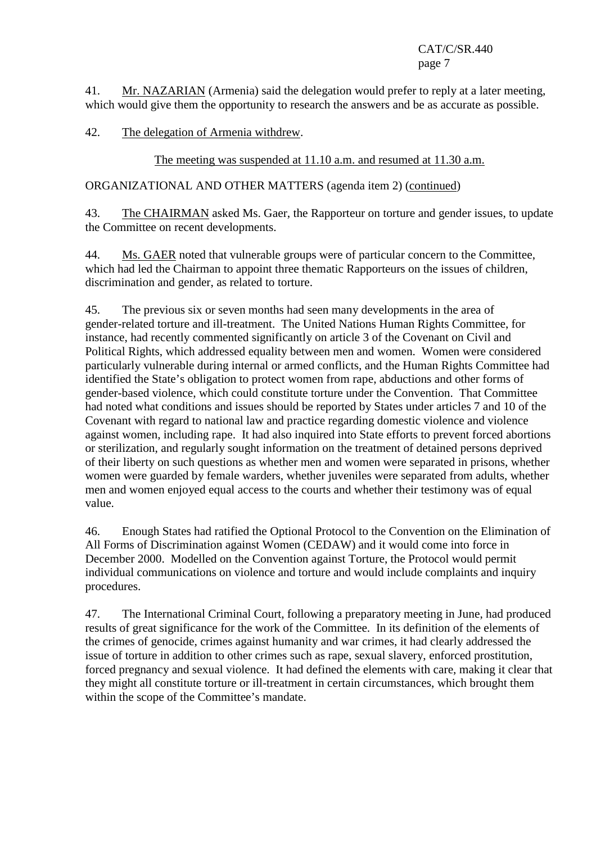41. Mr. NAZARIAN (Armenia) said the delegation would prefer to reply at a later meeting, which would give them the opportunity to research the answers and be as accurate as possible.

## 42. The delegation of Armenia withdrew.

The meeting was suspended at 11.10 a.m. and resumed at 11.30 a.m.

ORGANIZATIONAL AND OTHER MATTERS (agenda item 2) (continued)

43. The CHAIRMAN asked Ms. Gaer, the Rapporteur on torture and gender issues, to update the Committee on recent developments.

44. Ms. GAER noted that vulnerable groups were of particular concern to the Committee, which had led the Chairman to appoint three thematic Rapporteurs on the issues of children, discrimination and gender, as related to torture.

45. The previous six or seven months had seen many developments in the area of gender-related torture and ill-treatment. The United Nations Human Rights Committee, for instance, had recently commented significantly on article 3 of the Covenant on Civil and Political Rights, which addressed equality between men and women. Women were considered particularly vulnerable during internal or armed conflicts, and the Human Rights Committee had identified the State's obligation to protect women from rape, abductions and other forms of gender-based violence, which could constitute torture under the Convention. That Committee had noted what conditions and issues should be reported by States under articles 7 and 10 of the Covenant with regard to national law and practice regarding domestic violence and violence against women, including rape. It had also inquired into State efforts to prevent forced abortions or sterilization, and regularly sought information on the treatment of detained persons deprived of their liberty on such questions as whether men and women were separated in prisons, whether women were guarded by female warders, whether juveniles were separated from adults, whether men and women enjoyed equal access to the courts and whether their testimony was of equal value.

46. Enough States had ratified the Optional Protocol to the Convention on the Elimination of All Forms of Discrimination against Women (CEDAW) and it would come into force in December 2000. Modelled on the Convention against Torture, the Protocol would permit individual communications on violence and torture and would include complaints and inquiry procedures.

47. The International Criminal Court, following a preparatory meeting in June, had produced results of great significance for the work of the Committee. In its definition of the elements of the crimes of genocide, crimes against humanity and war crimes, it had clearly addressed the issue of torture in addition to other crimes such as rape, sexual slavery, enforced prostitution, forced pregnancy and sexual violence. It had defined the elements with care, making it clear that they might all constitute torture or ill-treatment in certain circumstances, which brought them within the scope of the Committee's mandate.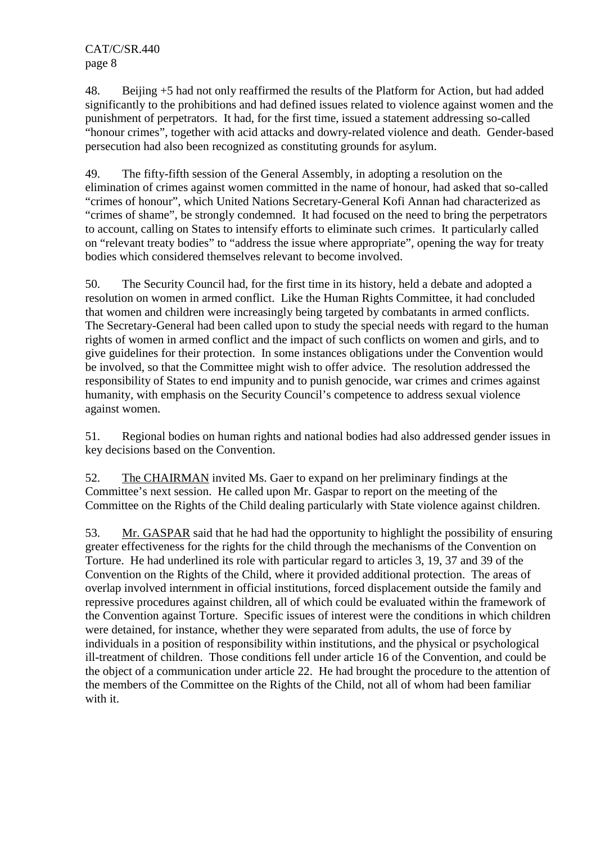48. Beijing +5 had not only reaffirmed the results of the Platform for Action, but had added significantly to the prohibitions and had defined issues related to violence against women and the punishment of perpetrators. It had, for the first time, issued a statement addressing so-called "honour crimes", together with acid attacks and dowry-related violence and death. Gender-based persecution had also been recognized as constituting grounds for asylum.

49. The fifty-fifth session of the General Assembly, in adopting a resolution on the elimination of crimes against women committed in the name of honour, had asked that so-called "crimes of honour", which United Nations Secretary-General Kofi Annan had characterized as "crimes of shame", be strongly condemned. It had focused on the need to bring the perpetrators to account, calling on States to intensify efforts to eliminate such crimes. It particularly called on "relevant treaty bodies" to "address the issue where appropriate", opening the way for treaty bodies which considered themselves relevant to become involved.

50. The Security Council had, for the first time in its history, held a debate and adopted a resolution on women in armed conflict. Like the Human Rights Committee, it had concluded that women and children were increasingly being targeted by combatants in armed conflicts. The Secretary-General had been called upon to study the special needs with regard to the human rights of women in armed conflict and the impact of such conflicts on women and girls, and to give guidelines for their protection. In some instances obligations under the Convention would be involved, so that the Committee might wish to offer advice. The resolution addressed the responsibility of States to end impunity and to punish genocide, war crimes and crimes against humanity, with emphasis on the Security Council's competence to address sexual violence against women.

51. Regional bodies on human rights and national bodies had also addressed gender issues in key decisions based on the Convention.

52. The CHAIRMAN invited Ms. Gaer to expand on her preliminary findings at the Committee's next session. He called upon Mr. Gaspar to report on the meeting of the Committee on the Rights of the Child dealing particularly with State violence against children.

53. Mr. GASPAR said that he had had the opportunity to highlight the possibility of ensuring greater effectiveness for the rights for the child through the mechanisms of the Convention on Torture. He had underlined its role with particular regard to articles 3, 19, 37 and 39 of the Convention on the Rights of the Child, where it provided additional protection. The areas of overlap involved internment in official institutions, forced displacement outside the family and repressive procedures against children, all of which could be evaluated within the framework of the Convention against Torture. Specific issues of interest were the conditions in which children were detained, for instance, whether they were separated from adults, the use of force by individuals in a position of responsibility within institutions, and the physical or psychological ill-treatment of children. Those conditions fell under article 16 of the Convention, and could be the object of a communication under article 22. He had brought the procedure to the attention of the members of the Committee on the Rights of the Child, not all of whom had been familiar with it.